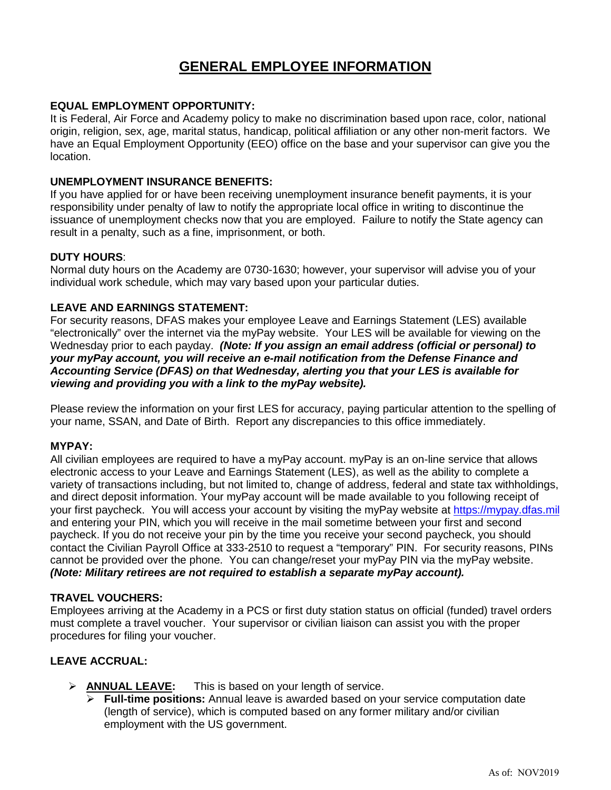# **GENERAL EMPLOYEE INFORMATION**

## **EQUAL EMPLOYMENT OPPORTUNITY:**

It is Federal, Air Force and Academy policy to make no discrimination based upon race, color, national origin, religion, sex, age, marital status, handicap, political affiliation or any other non-merit factors. We have an Equal Employment Opportunity (EEO) office on the base and your supervisor can give you the location.

## **UNEMPLOYMENT INSURANCE BENEFITS:**

If you have applied for or have been receiving unemployment insurance benefit payments, it is your responsibility under penalty of law to notify the appropriate local office in writing to discontinue the issuance of unemployment checks now that you are employed. Failure to notify the State agency can result in a penalty, such as a fine, imprisonment, or both.

## **DUTY HOURS**:

Normal duty hours on the Academy are 0730-1630; however, your supervisor will advise you of your individual work schedule, which may vary based upon your particular duties.

# **LEAVE AND EARNINGS STATEMENT:**

For security reasons, DFAS makes your employee Leave and Earnings Statement (LES) available "electronically" over the internet via the myPay website. Your LES will be available for viewing on the Wednesday prior to each payday. *(Note: If you assign an email address (official or personal) to your myPay account, you will receive an e-mail notification from the Defense Finance and Accounting Service (DFAS) on that Wednesday, alerting you that your LES is available for viewing and providing you with a link to the myPay website).*

Please review the information on your first LES for accuracy, paying particular attention to the spelling of your name, SSAN, and Date of Birth. Report any discrepancies to this office immediately.

#### **MYPAY:**

All civilian employees are required to have a myPay account. myPay is an on-line service that allows electronic access to your Leave and Earnings Statement (LES), as well as the ability to complete a variety of transactions including, but not limited to, change of address, federal and state tax withholdings, and direct deposit information. Your myPay account will be made available to you following receipt of your first paycheck. You will access your account by visiting the myPay website at [https://mypay.dfas.mil](https://mypay.dfas.mil/) and entering your PIN, which you will receive in the mail sometime between your first and second paycheck. If you do not receive your pin by the time you receive your second paycheck, you should contact the Civilian Payroll Office at 333-2510 to request a "temporary" PIN. For security reasons, PINs cannot be provided over the phone. You can change/reset your myPay PIN via the myPay website. *(Note: Military retirees are not required to establish a separate myPay account).*

#### **TRAVEL VOUCHERS:**

Employees arriving at the Academy in a PCS or first duty station status on official (funded) travel orders must complete a travel voucher. Your supervisor or civilian liaison can assist you with the proper procedures for filing your voucher.

#### **LEAVE ACCRUAL:**

- **ANNUAL LEAVE:** This is based on your length of service.
	- **Full-time positions:** Annual leave is awarded based on your service computation date (length of service), which is computed based on any former military and/or civilian employment with the US government.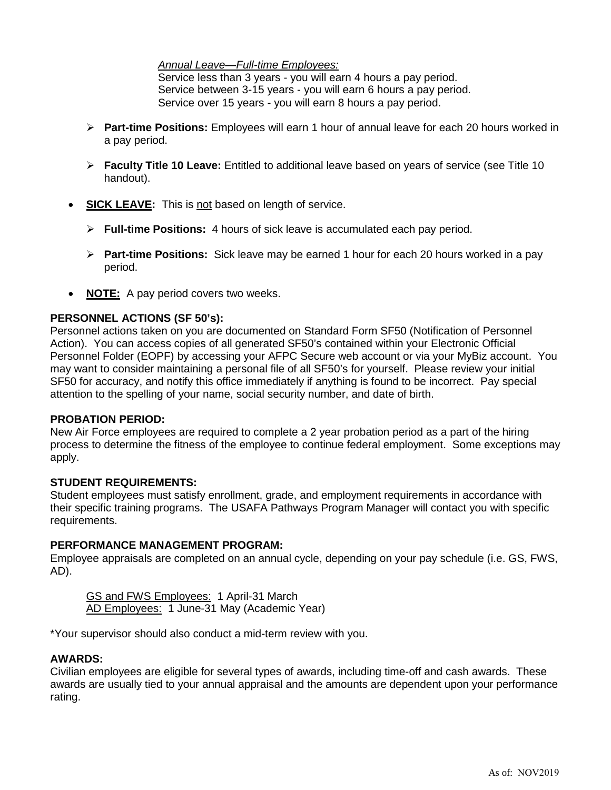#### *Annual Leave—Full-time Employees:*

Service less than 3 years - you will earn 4 hours a pay period. Service between 3-15 years - you will earn 6 hours a pay period. Service over 15 years - you will earn 8 hours a pay period.

- **Part-time Positions:** Employees will earn 1 hour of annual leave for each 20 hours worked in a pay period.
- **Faculty Title 10 Leave:** Entitled to additional leave based on years of service (see Title 10 handout).
- **SICK LEAVE:** This is not based on length of service.
	- **Full-time Positions:** 4 hours of sick leave is accumulated each pay period.
	- **Part-time Positions:** Sick leave may be earned 1 hour for each 20 hours worked in a pay period.
- **NOTE:** A pay period covers two weeks.

# **PERSONNEL ACTIONS (SF 50's):**

Personnel actions taken on you are documented on Standard Form SF50 (Notification of Personnel Action). You can access copies of all generated SF50's contained within your Electronic Official Personnel Folder (EOPF) by accessing your AFPC Secure web account or via your MyBiz account. You may want to consider maintaining a personal file of all SF50's for yourself. Please review your initial SF50 for accuracy, and notify this office immediately if anything is found to be incorrect. Pay special attention to the spelling of your name, social security number, and date of birth.

# **PROBATION PERIOD:**

New Air Force employees are required to complete a 2 year probation period as a part of the hiring process to determine the fitness of the employee to continue federal employment. Some exceptions may apply.

# **STUDENT REQUIREMENTS:**

Student employees must satisfy enrollment, grade, and employment requirements in accordance with their specific training programs. The USAFA Pathways Program Manager will contact you with specific requirements.

# **PERFORMANCE MANAGEMENT PROGRAM:**

Employee appraisals are completed on an annual cycle, depending on your pay schedule (i.e. GS, FWS, AD).

GS and FWS Employees: 1 April-31 March AD Employees: 1 June-31 May (Academic Year)

\*Your supervisor should also conduct a mid-term review with you.

# **AWARDS:**

Civilian employees are eligible for several types of awards, including time-off and cash awards. These awards are usually tied to your annual appraisal and the amounts are dependent upon your performance rating.